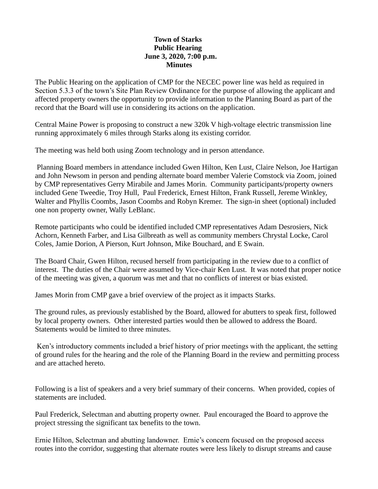## **Town of Starks Public Hearing June 3, 2020, 7:00 p.m. Minutes**

The Public Hearing on the application of CMP for the NECEC power line was held as required in Section 5.3.3 of the town's Site Plan Review Ordinance for the purpose of allowing the applicant and affected property owners the opportunity to provide information to the Planning Board as part of the record that the Board will use in considering its actions on the application.

Central Maine Power is proposing to construct a new 320k V high-voltage electric transmission line running approximately 6 miles through Starks along its existing corridor.

The meeting was held both using Zoom technology and in person attendance.

Planning Board members in attendance included Gwen Hilton, Ken Lust, Claire Nelson, Joe Hartigan and John Newsom in person and pending alternate board member Valerie Comstock via Zoom, joined by CMP representatives Gerry Mirabile and James Morin. Community participants/property owners included Gene Tweedie, Troy Hull, Paul Frederick, Ernest Hilton, Frank Russell, Jereme Winkley, Walter and Phyllis Coombs, Jason Coombs and Robyn Kremer. The sign-in sheet (optional) included one non property owner, Wally LeBlanc.

Remote participants who could be identified included CMP representatives Adam Desrosiers, Nick Achorn, Kenneth Farber, and Lisa Gilbreath as well as community members Chrystal Locke, Carol Coles, Jamie Dorion, A Pierson, Kurt Johnson, Mike Bouchard, and E Swain.

The Board Chair, Gwen Hilton, recused herself from participating in the review due to a conflict of interest. The duties of the Chair were assumed by Vice-chair Ken Lust. It was noted that proper notice of the meeting was given, a quorum was met and that no conflicts of interest or bias existed.

James Morin from CMP gave a brief overview of the project as it impacts Starks.

The ground rules, as previously established by the Board, allowed for abutters to speak first, followed by local property owners. Other interested parties would then be allowed to address the Board. Statements would be limited to three minutes.

Ken's introductory comments included a brief history of prior meetings with the applicant, the setting of ground rules for the hearing and the role of the Planning Board in the review and permitting process and are attached hereto.

Following is a list of speakers and a very brief summary of their concerns. When provided, copies of statements are included.

Paul Frederick, Selectman and abutting property owner. Paul encouraged the Board to approve the project stressing the significant tax benefits to the town.

Ernie Hilton, Selectman and abutting landowner. Ernie's concern focused on the proposed access routes into the corridor, suggesting that alternate routes were less likely to disrupt streams and cause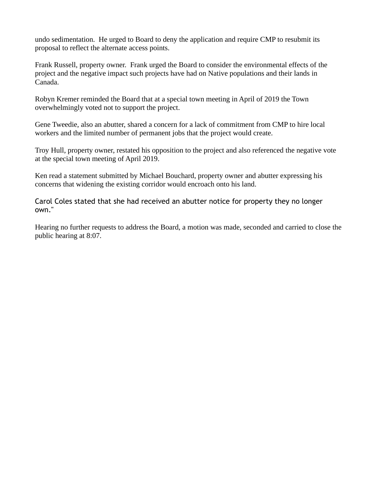undo sedimentation. He urged to Board to deny the application and require CMP to resubmit its proposal to reflect the alternate access points.

Frank Russell, property owner. Frank urged the Board to consider the environmental effects of the project and the negative impact such projects have had on Native populations and their lands in Canada.

Robyn Kremer reminded the Board that at a special town meeting in April of 2019 the Town overwhelmingly voted not to support the project.

Gene Tweedie, also an abutter, shared a concern for a lack of commitment from CMP to hire local workers and the limited number of permanent jobs that the project would create.

Troy Hull, property owner, restated his opposition to the project and also referenced the negative vote at the special town meeting of April 2019.

Ken read a statement submitted by Michael Bouchard, property owner and abutter expressing his concerns that widening the existing corridor would encroach onto his land.

Carol Coles stated that she had received an abutter notice for property they no longer own."

Hearing no further requests to address the Board, a motion was made, seconded and carried to close the public hearing at 8:07.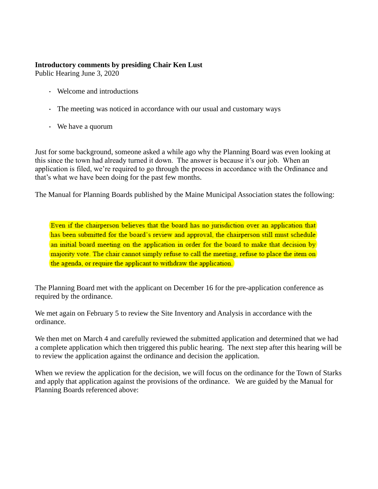## **Introductory comments by presiding Chair Ken Lust**

Public Hearing June 3, 2020

- Welcome and introductions
- The meeting was noticed in accordance with our usual and customary ways
- We have a quorum

Just for some background, someone asked a while ago why the Planning Board was even looking at this since the town had already turned it down. The answer is because it's our job. When an application is filed, we're required to go through the process in accordance with the Ordinance and that's what we have been doing for the past few months.

The Manual for Planning Boards published by the Maine Municipal Association states the following:

Even if the chairperson believes that the board has no jurisdiction over an application that has been submitted for the board's review and approval, the chairperson still must schedule an initial board meeting on the application in order for the board to make that decision by majority vote. The chair cannot simply refuse to call the meeting, refuse to place the item on the agenda, or require the applicant to withdraw the application.

The Planning Board met with the applicant on December 16 for the pre-application conference as required by the ordinance.

We met again on February 5 to review the Site Inventory and Analysis in accordance with the ordinance.

We then met on March 4 and carefully reviewed the submitted application and determined that we had a complete application which then triggered this public hearing. The next step after this hearing will be to review the application against the ordinance and decision the application.

When we review the application for the decision, we will focus on the ordinance for the Town of Starks and apply that application against the provisions of the ordinance. We are guided by the Manual for Planning Boards referenced above: